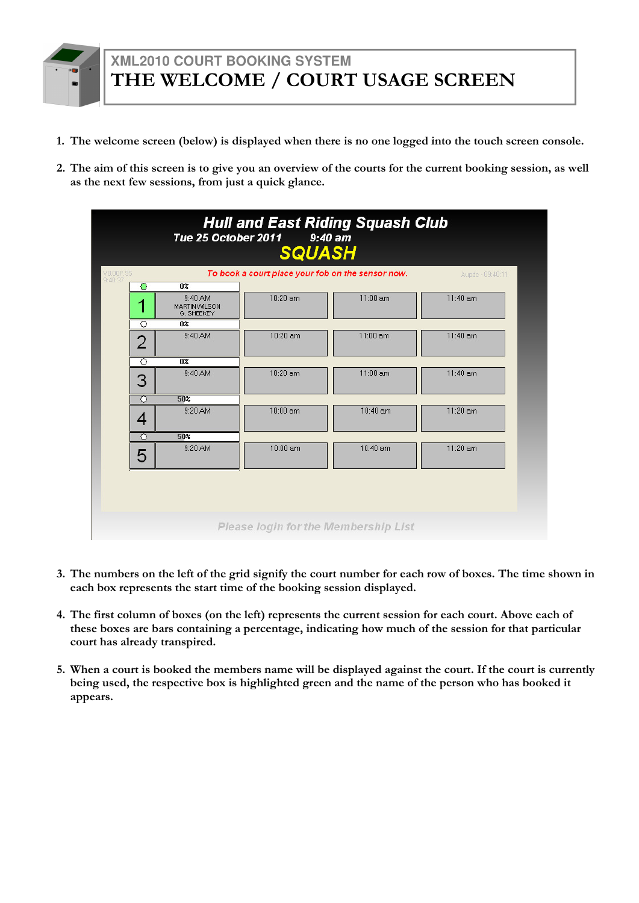- 1. The welcome screen (below) is displayed when there is no one logged into the touch screen console.
- 2. The aim of this screen is to give you an overview of the courts for the current booking session, as well as the next few sessions, from just a quick glance.

| 9:40:37<br>٠ | $\overline{0z}$<br>$\circ$                            |            |            |            |
|--------------|-------------------------------------------------------|------------|------------|------------|
|              |                                                       |            |            |            |
|              | 9:40 AM<br><b>MARTIN VVILSON</b><br><b>G. SHEEKEY</b> | 10:20 am   | $11:00$ am | $11:40$ am |
|              | O<br>$0\%$                                            |            |            |            |
|              | 9:40 AM<br>$\overline{2}$                             | 10:20 am   | $11:00$ am | $11:40$ am |
|              | ਨ<br>$\overline{0z}$                                  |            |            |            |
|              | 9:40 AM<br>3                                          | 10:20 am   | $11:00$ am | $11:40$ am |
|              | $\overline{\circ}$<br>50 <sup>2</sup>                 |            |            |            |
| 4            | 9:20 AM                                               | 10:00 am   | 10:40 am   | 11:20 am   |
|              | $\overline{\circ}$<br>50%                             |            |            |            |
|              | 9:20 AM<br>5                                          | $10:00$ am | 10:40 am   | $11:20$ am |

- 3. The numbers on the left of the grid signify the court number for each row of boxes. The time shown in each box represents the start time of the booking session displayed.
- 4. The first column of boxes (on the left) represents the current session for each court. Above each of these boxes are bars containing a percentage, indicating how much of the session for that particular court has already transpired.
- 5. When a court is booked the members name will be displayed against the court. If the court is currently

being used, the respective box is highlighted green and the name of the person who has booked it appears.



### **XML2010 COURT BOOKING SYSTEM** THE WELCOME / COURT USAGE SCREEN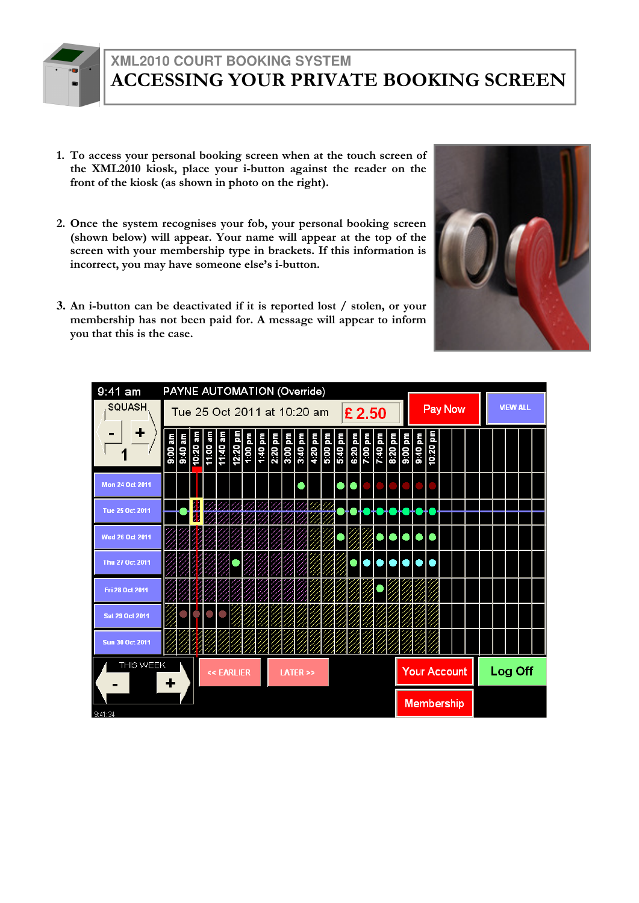- 1. To access your personal booking screen when at the touch screen of the XML2010 kiosk, place your i-button against the reader on the front of the kiosk (as shown in photo on the right).
- 2. Once the system recognises your fob, your personal booking screen (shown below) will appear. Your name will appear at the top of the screen with your membership type in brackets. If this information is incorrect, you may have someone else's i-button.
- **3.** An i-button can be deactivated if it is reported lost / stolen, or your membership has not been paid for. A message will appear to inform you that this is the case.



| 9:41 am                | PAYNE AUTOMATION (Override) |         |                             |            |  |                       |  |  |        |  |  |                     |  |  |                 |         |  |
|------------------------|-----------------------------|---------|-----------------------------|------------|--|-----------------------|--|--|--------|--|--|---------------------|--|--|-----------------|---------|--|
| SQUASH.                |                             |         | Tue 25 Oct 2011 at 10:20 am |            |  |                       |  |  | £ 2.50 |  |  | Pay Now             |  |  | <b>VIEW ALL</b> |         |  |
| ┿                      |                             |         |                             |            |  |                       |  |  |        |  |  | шd                  |  |  |                 |         |  |
| <b>Mon 24 Oct 2011</b> |                             |         |                             |            |  |                       |  |  |        |  |  |                     |  |  |                 |         |  |
| <b>Tue 25 Oct 2011</b> |                             | И<br>77 |                             |            |  |                       |  |  |        |  |  |                     |  |  |                 |         |  |
| Wed 26 Oct 2011        |                             |         |                             |            |  |                       |  |  |        |  |  |                     |  |  |                 |         |  |
| Thu 27 Oct 2011        |                             |         |                             |            |  |                       |  |  |        |  |  |                     |  |  |                 |         |  |
| Fri 28 Oct 2011        |                             |         |                             |            |  |                       |  |  |        |  |  |                     |  |  |                 |         |  |
| <b>Sat 29 Oct 2011</b> |                             |         |                             |            |  |                       |  |  |        |  |  |                     |  |  |                 |         |  |
| <b>Sun 30 Oct 2011</b> |                             |         |                             |            |  |                       |  |  |        |  |  |                     |  |  |                 |         |  |
| THIS WEEK              |                             |         |                             | << EARLIER |  | <b>LATER &gt;&gt;</b> |  |  |        |  |  | <b>Your Account</b> |  |  |                 | Log Off |  |





#### **XML2010 COURT BOOKING SYSTEM** ACCESSING YOUR PRIVATE BOOKING SCREEN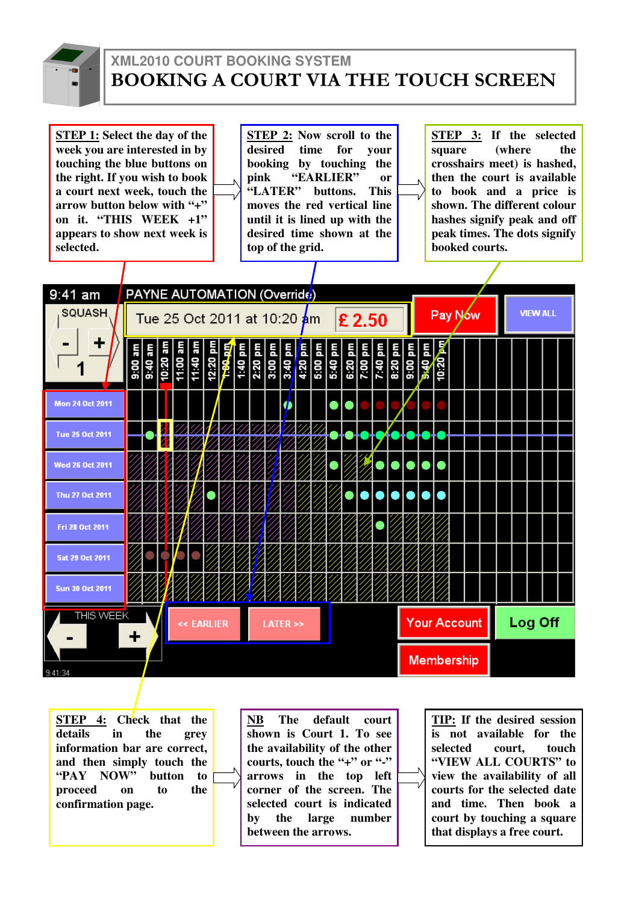

#### **XML2010 COURT BOOKING SYSTEM** BOOKING A COURT VIA THE TOUCH SCREEN

**STEP 1: Select the day of the week you are interested in by touching the blue buttons on the right. If you wish to book a court next week, touch the arrow button below with "+" on it. "THIS WEEK +1" appears to show next week is selected.** 

**STEP 2: Now scroll to the desired time for your booking by touching the pink "EARLIER" or "LATER" buttons. This moves the red vertical line until it is lined up with the desired time shown at the top of the grid.** 

**STEP 3: If the selected square (where the crosshairs meet) is hashed, then the court is available to book and a price is shown. The different colour hashes signify peak and off peak times. The dots signify booked courts.** 

| 9:41 am                | PAYNE AUTOMATION (Override) |  |            |  |                                     |                       |  |        |  |  |                                                                                                                                                                                                                                                                                                                                                                                                                                          |  |  |                 |         |  |
|------------------------|-----------------------------|--|------------|--|-------------------------------------|-----------------------|--|--------|--|--|------------------------------------------------------------------------------------------------------------------------------------------------------------------------------------------------------------------------------------------------------------------------------------------------------------------------------------------------------------------------------------------------------------------------------------------|--|--|-----------------|---------|--|
| <b>SQUASH</b>          |                             |  |            |  | Tue 25 Oct 2011 at 10:20 <b>a</b> m |                       |  | £ 2.50 |  |  | Pay Now                                                                                                                                                                                                                                                                                                                                                                                                                                  |  |  | <b>VIEW ALL</b> |         |  |
| ╈                      | ā<br>9.00                   |  |            |  |                                     |                       |  |        |  |  | $\begin{array}{r l}\n & \text{or} & \text{or} & \text{or} & \text{or} \\ \hline\n & 1.00 & \text{Im} & \text{Im} & \text{Im} & \text{Im} \\  & 1.00 & \text{Im} & \text{Im} & \text{Im} & \text{Im} \\  & 1.00 & \text{Im} & \text{Im} & \text{Im} & \text{Im} \\  & 1.00 & \text{Im} & \text{Im} & \text{Im} & \text{Im} \\  & 1.00 & \text{Im} & \text{Im} & \text{Im} & \text{Im} \\  & 1.00 & \text{Im} & \text{Im} & \text{Im} & \$ |  |  |                 |         |  |
| <b>Mon 24 Oct 2011</b> |                             |  |            |  |                                     |                       |  |        |  |  |                                                                                                                                                                                                                                                                                                                                                                                                                                          |  |  |                 |         |  |
| <b>Tue 25 Oct 2011</b> |                             |  |            |  |                                     |                       |  |        |  |  |                                                                                                                                                                                                                                                                                                                                                                                                                                          |  |  |                 |         |  |
| <b>Wed 26 Oct 2011</b> |                             |  |            |  |                                     |                       |  |        |  |  |                                                                                                                                                                                                                                                                                                                                                                                                                                          |  |  |                 |         |  |
| Thu 27 Oct 2011        |                             |  |            |  |                                     |                       |  |        |  |  |                                                                                                                                                                                                                                                                                                                                                                                                                                          |  |  |                 |         |  |
| Fri 28 Oct 2011        |                             |  |            |  |                                     |                       |  |        |  |  |                                                                                                                                                                                                                                                                                                                                                                                                                                          |  |  |                 |         |  |
| <b>Sat 29 Oct 2011</b> |                             |  |            |  |                                     |                       |  |        |  |  |                                                                                                                                                                                                                                                                                                                                                                                                                                          |  |  |                 |         |  |
| <b>Sun 30 Oct 2011</b> |                             |  |            |  |                                     |                       |  |        |  |  |                                                                                                                                                                                                                                                                                                                                                                                                                                          |  |  |                 |         |  |
| <b>THIS WEEK</b>       | ÷.                          |  | << EARLIER |  |                                     | <b>LATER &gt;&gt;</b> |  |        |  |  | <b>Your Account</b>                                                                                                                                                                                                                                                                                                                                                                                                                      |  |  |                 | Log Off |  |
| 9:41:34                |                             |  |            |  |                                     |                       |  |        |  |  | <b>Membership</b>                                                                                                                                                                                                                                                                                                                                                                                                                        |  |  |                 |         |  |

**STEP 4: Check that the details in the grey information bar are correct, and then simply touch the "PAY NOW" button to proceed on to the confirmation page.** 

**NB The default court shown is Court 1. To see the availability of the other courts, touch the "+" or "-" arrows in the top left corner of the screen. The selected court is indicated by the large number between the arrows.** 

**TIP: If the desired session is not available for the selected court, touch "VIEW ALL COURTS" to view the availability of all courts for the selected date and time. Then book a court by touching a square that displays a free court.**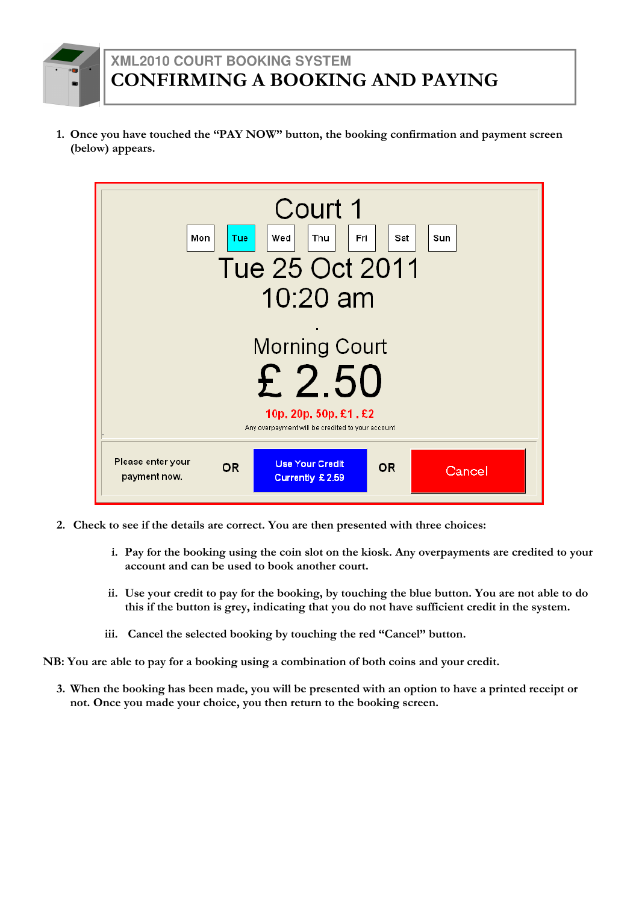1. Once you have touched the "PAY NOW" button, the booking confirmation and payment screen (below) appears.



- 2. Check to see if the details are correct. You are then presented with three choices:
	- i. Pay for the booking using the coin slot on the kiosk. Any overpayments are credited to your account and can be used to book another court.
	- ii. Use your credit to pay for the booking, by touching the blue button. You are not able to do this if the button is grey, indicating that you do not have sufficient credit in the system.
	- iii. Cancel the selected booking by touching the red "Cancel" button.

NB: You are able to pay for a booking using a combination of both coins and your credit.

3. When the booking has been made, you will be presented with an option to have a printed receipt or not. Once you made your choice, you then return to the booking screen.



# **XML2010 COURT BOOKING SYSTEM** CONFIRMING A BOOKING AND PAYING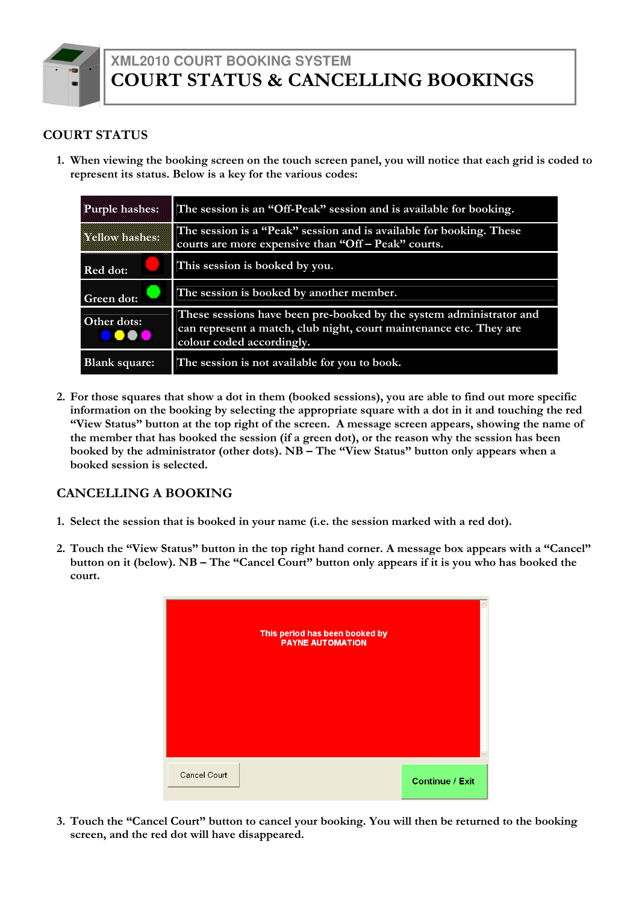#### COURT STATUS

1. When viewing the booking screen on the touch screen panel, you will notice that each grid is coded to represent its status. Below is a key for the various codes:

| Purple hashes:            | The session is an "Off-Peak" session and is available for booking.                                                                                                     |
|---------------------------|------------------------------------------------------------------------------------------------------------------------------------------------------------------------|
| A LARGUA A CAMANA (GALAND | The session is a "Peak" session and is available for booking. These<br>courts are more expensive than "Off – Peak" courts.                                             |
| <b>Red dot:</b>           | This session is booked by you.                                                                                                                                         |
| <b>Green dot:</b>         | The session is booked by another member.                                                                                                                               |
| Other dots:<br>.          | These sessions have been pre-booked by the system administrator and<br>can represent a match, club night, court maintenance etc. They are<br>colour coded accordingly. |
| <b>Blank square:</b>      | The session is not available for you to book.                                                                                                                          |

2. For those squares that show a dot in them (booked sessions), you are able to find out more specific information on the booking by selecting the appropriate square with a dot in it and touching the red "View Status" button at the top right of the screen. A message screen appears, showing the name of the member that has booked the session (if a green dot), or the reason why the session has been booked by the administrator (other dots). NB – The "View Status" button only appears when a booked session is selected.

#### CANCELLING A BOOKING

- 1. Select the session that is booked in your name (i.e. the session marked with a red dot).
- 2. Touch the "View Status" button in the top right hand corner. A message box appears with a "Cancel" button on it (below). NB – The "Cancel Court" button only appears if it is you who has booked the court.





3. Touch the "Cancel Court" button to cancel your booking. You will then be returned to the booking screen, and the red dot will have disappeared.



#### **XML2010 COURT BOOKING SYSTEM** COURT STATUS & CANCELLING BOOKINGS